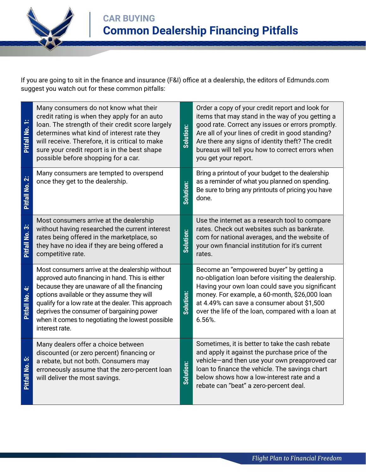

If you are going to sit in the finance and insurance (F&I) office at a dealership, the editors of Edmunds.com suggest you watch out for these common pitfalls:

| Many consumers do not know what their<br>credit rating is when they apply for an auto<br>loan. The strength of their credit score largely<br>determines what kind of interest rate they<br>will receive. Therefore, it is critical to make<br>sure your credit report is in the best shape<br>possible before shopping for a car.                                           | Solution: | Order a copy of your credit report and look for<br>items that may stand in the way of you getting a<br>good rate. Correct any issues or errors promptly.<br>Are all of your lines of credit in good standing?<br>Are there any signs of identity theft? The credit<br>bureaus will tell you how to correct errors when<br>you get your report. |
|-----------------------------------------------------------------------------------------------------------------------------------------------------------------------------------------------------------------------------------------------------------------------------------------------------------------------------------------------------------------------------|-----------|------------------------------------------------------------------------------------------------------------------------------------------------------------------------------------------------------------------------------------------------------------------------------------------------------------------------------------------------|
| Many consumers are tempted to overspend<br>once they get to the dealership.                                                                                                                                                                                                                                                                                                 | Solution: | Bring a printout of your budget to the dealership<br>as a reminder of what you planned on spending.<br>Be sure to bring any printouts of pricing you have<br>done.                                                                                                                                                                             |
| Most consumers arrive at the dealership<br>without having researched the current interest<br>rates being offered in the marketplace, so<br>they have no idea if they are being offered a<br>competitive rate.                                                                                                                                                               | Solution: | Use the internet as a research tool to compare<br>rates. Check out websites such as bankrate.<br>com for national averages, and the website of<br>your own financial institution for it's current<br>rates.                                                                                                                                    |
| Most consumers arrive at the dealership without<br>approved auto financing in hand. This is either<br>because they are unaware of all the financing<br>options available or they assume they will<br>qualify for a low rate at the dealer. This approach<br>deprives the consumer of bargaining power<br>when it comes to negotiating the lowest possible<br>interest rate. | Solution: | Become an "empowered buyer" by getting a<br>no-obligation loan before visiting the dealership.<br>Having your own loan could save you significant<br>money. For example, a 60-month, \$26,000 loan<br>at 4.49% can save a consumer about \$1,500<br>over the life of the loan, compared with a loan at<br>6.56%.                               |
| Many dealers offer a choice between<br>discounted (or zero percent) financing or<br>a rebate, but not both. Consumers may<br>erroneously assume that the zero-percent loan<br>will deliver the most savings.                                                                                                                                                                | Solution: | Sometimes, it is better to take the cash rebate<br>and apply it against the purchase price of the<br>vehicle-and then use your own preapproved car<br>loan to finance the vehicle. The savings chart<br>below shows how a low-interest rate and a<br>rebate can "beat" a zero-percent deal.                                                    |
|                                                                                                                                                                                                                                                                                                                                                                             |           |                                                                                                                                                                                                                                                                                                                                                |